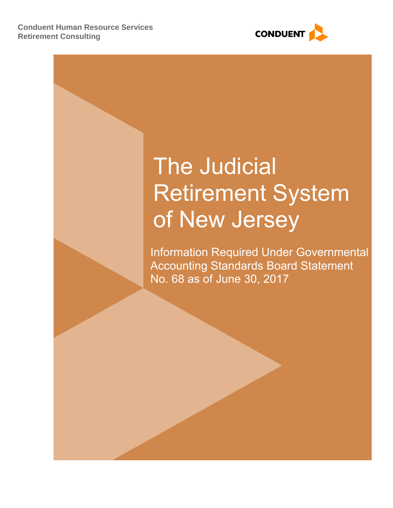

# The Judicial Retirement System of New Jersey

Information Required Under Governmental Accounting Standards Board Statement No. 68 as of June 30, 2017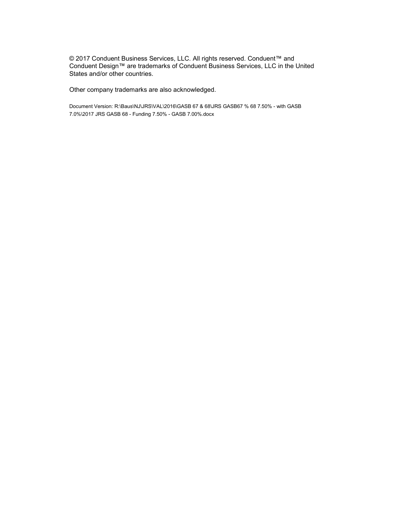© 2017 Conduent Business Services, LLC. All rights reserved. Conduent™ and Conduent Design™ are trademarks of Conduent Business Services, LLC in the United States and/or other countries.

Other company trademarks are also acknowledged.

Document Version: R:\Baus\NJ\JRS\VAL\2016\GASB 67 & 68\JRS GASB67 % 68 7.50% - with GASB 7.0%\2017 JRS GASB 68 - Funding 7.50% - GASB 7.00%.docx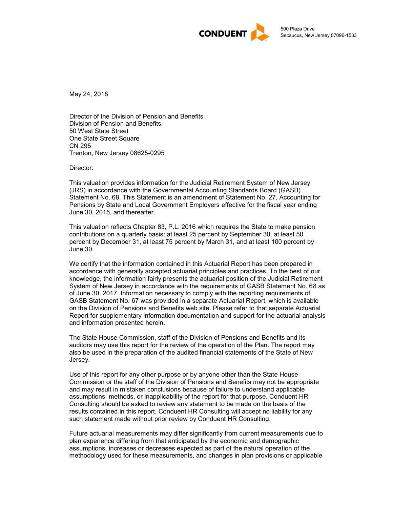

May 24, 2018

Director of the Division of Pension and Benefits Division of Pension and Benefits 50 West State Street One State Street Square CN 295 Trenton, New Jersey 08625-0295

Director:

This valuation provides information for the Judicial Retirement System of New Jersey (JRS) in accordance with the Governmental Accounting Standards Board (GASB) Statement No. 68. This Statement is an amendment of Statement No. 27, Accounting for Pensions by State and Local Government Employers effective for the fiscal year ending June 30, 2015, and thereafter.

This valuation reflects Chapter 83, P.L. 2016 which requires the State to make pension contributions on a quarterly basis: at least 25 percent by September 30, at least 50 percent by December 31, at least 75 percent by March 31, and at least 100 percent by June 30.

We certify that the information contained in this Actuarial Report has been prepared in accordance with generally accepted actuarial principles and practices. To the best of our knowledge, the information fairly presents the actuarial position of the Judicial Retirement System of New Jersey in accordance with the requirements of GASB Statement No. 68 as of June 30, 2017. Information necessary to comply with the reporting requirements of GASB Statement No. 67 was provided in a separate Actuarial Report, which is available on the Division of Pensions and Benefits web site. Please refer to that separate Actuarial Report for supplementary information documentation and support for the actuarial analysis and information presented herein.

The State House Commission, staff of the Division of Pensions and Benefits and its auditors may use this report for the review of the operation of the Plan. The report may also be used in the preparation of the audited financial statements of the State of New Jersey.

Use of this report for any other purpose or by anyone other than the State House Commission or the staff of the Division of Pensions and Benefits may not be appropriate and may result in mistaken conclusions because of failure to understand applicable assumptions, methods, or inapplicability of the report for that purpose. Conduent HR Consulting should be asked to review any statement to be made on the basis of the results contained in this report. Conduent HR Consulting will accept no liability for any such statement made without prior review by Conduent HR Consulting.

Future actuarial measurements may differ significantly from current measurements due to plan experience differing from that anticipated by the economic and demographic assumptions, increases or decreases expected as part of the natural operation of the methodology used for these measurements, and changes in plan provisions or applicable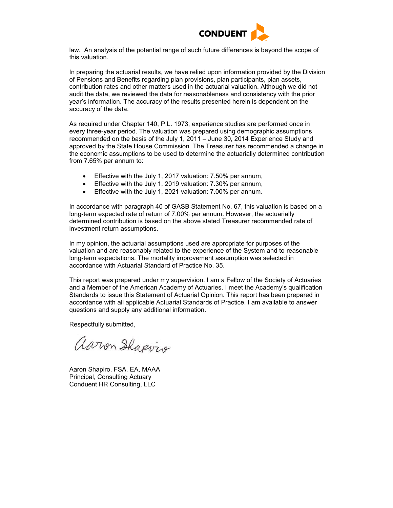

law. An analysis of the potential range of such future differences is beyond the scope of this valuation.

In preparing the actuarial results, we have relied upon information provided by the Division of Pensions and Benefits regarding plan provisions, plan participants, plan assets, contribution rates and other matters used in the actuarial valuation. Although we did not audit the data, we reviewed the data for reasonableness and consistency with the prior year's information. The accuracy of the results presented herein is dependent on the accuracy of the data.

As required under Chapter 140, P.L. 1973, experience studies are performed once in every three-year period. The valuation was prepared using demographic assumptions recommended on the basis of the July 1, 2011 – June 30, 2014 Experience Study and approved by the State House Commission. The Treasurer has recommended a change in the economic assumptions to be used to determine the actuarially determined contribution from 7.65% per annum to:

- Effective with the July 1, 2017 valuation: 7.50% per annum,
- Effective with the July 1, 2019 valuation: 7.30% per annum,
- Effective with the July 1, 2021 valuation: 7.00% per annum.

In accordance with paragraph 40 of GASB Statement No. 67, this valuation is based on a long-term expected rate of return of 7.00% per annum. However, the actuarially determined contribution is based on the above stated Treasurer recommended rate of investment return assumptions.

In my opinion, the actuarial assumptions used are appropriate for purposes of the valuation and are reasonably related to the experience of the System and to reasonable long-term expectations. The mortality improvement assumption was selected in accordance with Actuarial Standard of Practice No. 35.

This report was prepared under my supervision. I am a Fellow of the Society of Actuaries and a Member of the American Academy of Actuaries. I meet the Academy's qualification Standards to issue this Statement of Actuarial Opinion. This report has been prepared in accordance with all applicable Actuarial Standards of Practice. I am available to answer questions and supply any additional information.

Respectfully submitted,

aaron Shapvis

Aaron Shapiro, FSA, EA, MAAA Principal, Consulting Actuary Conduent HR Consulting, LLC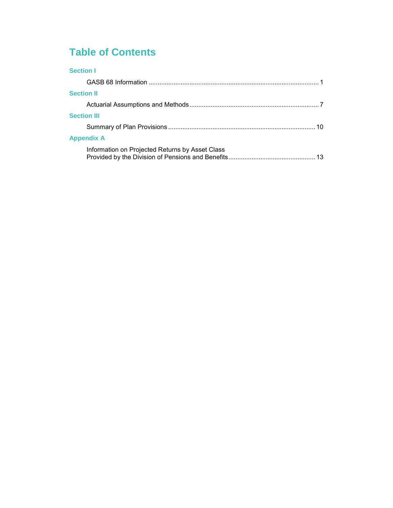# **Table of Contents**

|  | r |  |  |
|--|---|--|--|
|  |   |  |  |

| <b>Section II</b>                               |  |
|-------------------------------------------------|--|
|                                                 |  |
| <b>Section III</b>                              |  |
|                                                 |  |
| <b>Appendix A</b>                               |  |
| Information on Projected Returns by Asset Class |  |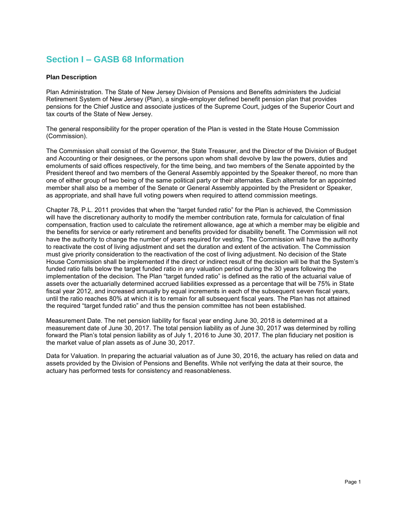## **Section I – GASB 68 Information**

#### **Plan Description**

Plan Administration. The State of New Jersey Division of Pensions and Benefits administers the Judicial Retirement System of New Jersey (Plan), a single-employer defined benefit pension plan that provides pensions for the Chief Justice and associate justices of the Supreme Court, judges of the Superior Court and tax courts of the State of New Jersey.

The general responsibility for the proper operation of the Plan is vested in the State House Commission (Commission).

The Commission shall consist of the Governor, the State Treasurer, and the Director of the Division of Budget and Accounting or their designees, or the persons upon whom shall devolve by law the powers, duties and emoluments of said offices respectively, for the time being, and two members of the Senate appointed by the President thereof and two members of the General Assembly appointed by the Speaker thereof, no more than one of either group of two being of the same political party or their alternates. Each alternate for an appointed member shall also be a member of the Senate or General Assembly appointed by the President or Speaker, as appropriate, and shall have full voting powers when required to attend commission meetings.

Chapter 78, P.L. 2011 provides that when the "target funded ratio" for the Plan is achieved, the Commission will have the discretionary authority to modify the member contribution rate, formula for calculation of final compensation, fraction used to calculate the retirement allowance, age at which a member may be eligible and the benefits for service or early retirement and benefits provided for disability benefit. The Commission will not have the authority to change the number of years required for vesting. The Commission will have the authority to reactivate the cost of living adjustment and set the duration and extent of the activation. The Commission must give priority consideration to the reactivation of the cost of living adjustment. No decision of the State House Commission shall be implemented if the direct or indirect result of the decision will be that the System's funded ratio falls below the target funded ratio in any valuation period during the 30 years following the implementation of the decision. The Plan "target funded ratio" is defined as the ratio of the actuarial value of assets over the actuarially determined accrued liabilities expressed as a percentage that will be 75% in State fiscal year 2012, and increased annually by equal increments in each of the subsequent seven fiscal years, until the ratio reaches 80% at which it is to remain for all subsequent fiscal years. The Plan has not attained the required "target funded ratio" and thus the pension committee has not been established.

Measurement Date. The net pension liability for fiscal year ending June 30, 2018 is determined at a measurement date of June 30, 2017. The total pension liability as of June 30, 2017 was determined by rolling forward the Plan's total pension liability as of July 1, 2016 to June 30, 2017. The plan fiduciary net position is the market value of plan assets as of June 30, 2017.

Data for Valuation. In preparing the actuarial valuation as of June 30, 2016, the actuary has relied on data and assets provided by the Division of Pensions and Benefits. While not verifying the data at their source, the actuary has performed tests for consistency and reasonableness.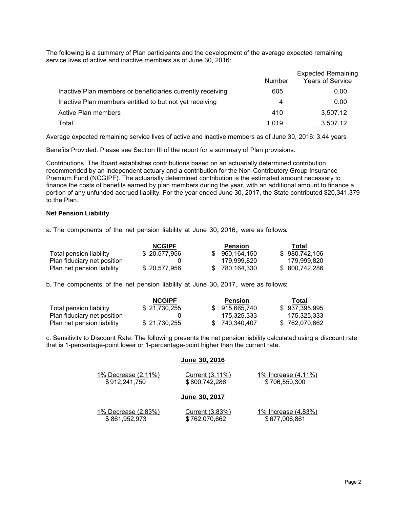The following is a summary of Plan participants and the development of the average expected remaining service lives of active and inactive members as of June 30, 2016:

|                                                            | Number | <b>Expected Remaining</b><br><b>Years of Service</b> |
|------------------------------------------------------------|--------|------------------------------------------------------|
| Inactive Plan members or beneficiaries currently receiving | 605    | 0.00                                                 |
| Inactive Plan members entitled to but not yet receiving    | 4      | 0.00                                                 |
| <b>Active Plan members</b>                                 | 410    | 3,507.12                                             |
| Total                                                      | 1,019  | 3,507.12                                             |

Average expected remaining service lives of active and inactive members as of June 30, 2016: 3.44 years

Benefits Provided. Please see Section III of the report for a summary of Plan provisions.

Contributions. The Board establishes contributions based on an actuarially determined contribution recommended by an independent actuary and a contribution for the Non-Contributory Group Insurance Premium Fund (NCGIPF). The actuarially determined contribution is the estimated amount necessary to finance the costs of benefits earned by plan members during the year, with an additional amount to finance a portion of any unfunded accrued liability. For the year ended June 30, 2017, the State contributed \$20,341,379 to the Plan.

#### **Net Pension Liability**

a. The components of the net pension liability at June 30, 2016, were as follows:

|                             | <b>NCGIPF</b> | <b>Pension</b> | Total          |
|-----------------------------|---------------|----------------|----------------|
| Total pension liability     | \$20,577,956  | 960.164.150    | \$980,742,106  |
| Plan fiduciary net position |               | 179.999.820    | 179,999,820    |
| Plan net pension liability  | \$20,577,956  | \$780.164.330  | \$ 800,742,286 |

b. The components of the net pension liability at June 30, 2017, were as follows:

|                             | <b>NCGIPF</b> | <b>Pension</b> | Total         |
|-----------------------------|---------------|----------------|---------------|
| Total pension liability     | \$21.730.255  | \$915.665.740  | \$937,395,995 |
| Plan fiduciary net position |               | 175.325.333    | 175,325,333   |
| Plan net pension liability  | \$21,730,255  | \$740.340.407  | \$762.070.662 |

c. Sensitivity to Discount Rate: The following presents the net pension liability calculated using a discount rate that is 1-percentage-point lower or 1-percentage-point higher than the current rate.

#### **June 30, <sup>2016</sup>**

| 1% Decrease (2.11%)        | Current (3.11%)      | 1% Increase (4.11%)        |  |  |
|----------------------------|----------------------|----------------------------|--|--|
| \$912,241,750              | \$800,742,286        | \$706,550,300              |  |  |
|                            | <b>June 30, 2017</b> |                            |  |  |
| <u>1% Decrease (2.83%)</u> | Current (3.83%)      | <u>1% Increase (4.83%)</u> |  |  |
| \$861,952,973              | \$762,070,662        | \$677,006,861              |  |  |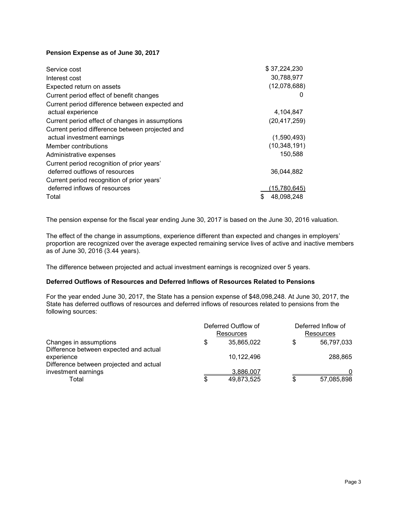#### **Pension Expense as of June 30, 2017**

| Service cost                                    | \$37,224,230     |
|-------------------------------------------------|------------------|
| Interest cost                                   | 30,788,977       |
| Expected return on assets                       | (12,078,688)     |
| Current period effect of benefit changes        | $\Omega$         |
| Current period difference between expected and  |                  |
| actual experience                               | 4,104,847        |
| Current period effect of changes in assumptions | (20, 417, 259)   |
| Current period difference between projected and |                  |
| actual investment earnings                      | (1,590,493)      |
| Member contributions                            | (10, 348, 191)   |
| Administrative expenses                         | 150,588          |
| Current period recognition of prior years'      |                  |
| deferred outflows of resources                  | 36,044,882       |
| Current period recognition of prior years'      |                  |
| deferred inflows of resources                   | (15,780,645)     |
| Total                                           | 48,098,248<br>\$ |

The pension expense for the fiscal year ending June 30, 2017 is based on the June 30, 2016 valuation.

The effect of the change in assumptions, experience different than expected and changes in employers' proportion are recognized over the average expected remaining service lives of active and inactive members as of June 30, 2016 (3.44 years).

The difference between projected and actual investment earnings is recognized over 5 years.

#### **Deferred Outflows of Resources and Deferred Inflows of Resources Related to Pensions**

For the year ended June 30, 2017, the State has a pension expense of \$48,098,248. At June 30, 2017, the State has deferred outflows of resources and deferred inflows of resources related to pensions from the following sources:

|                                                                                                 |   | Deferred Outflow of<br>Resources | Deferred Inflow of<br>Resources |            |  |  |
|-------------------------------------------------------------------------------------------------|---|----------------------------------|---------------------------------|------------|--|--|
| Changes in assumptions                                                                          | S | 35,865,022                       | \$                              | 56,797,033 |  |  |
| Difference between expected and actual<br>experience<br>Difference between projected and actual |   | 10,122,496                       |                                 | 288,865    |  |  |
| investment earnings                                                                             |   | 3.886.007                        |                                 |            |  |  |
| Total                                                                                           | S | 49,873,525                       | \$                              | 57,085,898 |  |  |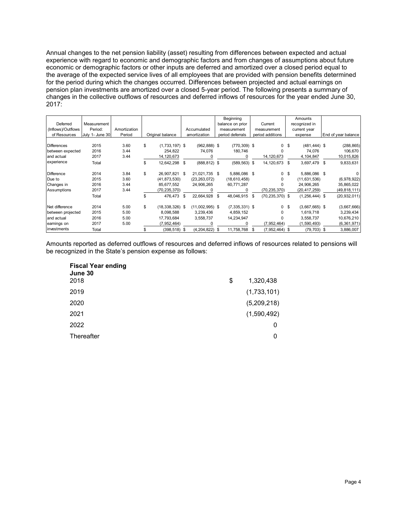Annual changes to the net pension liability (asset) resulting from differences between expected and actual experience with regard to economic and demographic factors and from changes of assumptions about future economic or demographic factors or other inputs are deferred and amortized over a closed period equal to the average of the expected service lives of all employees that are provided with pension benefits determined for the period during which the changes occurred. Differences between projected and actual earnings on pension plan investments are amortized over a closed 5-year period. The following presents a summary of changes in the collective outflows of resources and deferred inflows of resources for the year ended June 30, 2017:

| Deferred           | Measurement     |              |    |                     |                       |    | Beginning<br>balance on prior |      | Current             |                | Amounts<br>recognized in |                     |
|--------------------|-----------------|--------------|----|---------------------|-----------------------|----|-------------------------------|------|---------------------|----------------|--------------------------|---------------------|
| (Inflows)/Outflows | Period:         | Amortization |    |                     | Accumulated           |    | measurement                   |      | measurement         |                | current year             |                     |
| of Resources       | July 1- June 30 | Period       |    | Original balance    | amortization          |    | period deferrals              |      | period additions    |                | expense                  | End of year balance |
|                    |                 |              |    |                     |                       |    |                               |      |                     |                |                          |                     |
| <b>Differences</b> | 2015            | 3.60         | S  | $(1,733,197)$ \$    | $(962, 888)$ \$       |    | $(770, 309)$ \$               |      |                     | 0 <sup>5</sup> | $(481, 444)$ \$          | (288, 865)          |
| between expected   | 2016            | 3.44         |    | 254,822             | 74,076                |    | 180,746                       |      |                     |                | 74,076                   | 106,670             |
| and actual         | 2017            | 3.44         |    | 14,120,673          |                       |    | $\Omega$                      |      | 14, 120, 673        |                | 4,104,847                | 10,015,826          |
| experience         | Total           |              | \$ | 12,642,298          | \$<br>$(888, 812)$ \$ |    | $(589, 563)$ \$               |      | 14,120,673 \$       |                | 3,697,479 \$             | 9,833,631           |
| <b>Difference</b>  | 2014            | 3.84         | \$ | 26,907,821 \$       | 21,021,735 \$         |    | 5,886,086 \$                  |      |                     | 0 <sup>5</sup> | 5,886,086 \$             | 0                   |
| Due to             | 2015            | 3.60         |    | (41, 873, 530)      | (23, 263, 072)        |    | (18,610,458)                  |      |                     |                | (11, 631, 536)           | (6,978,922)         |
| Changes in         | 2016            | 3.44         |    | 85,677,552          | 24,906,265            |    | 60,771,287                    |      | 0                   |                | 24,906,265               | 35,865,022          |
| Assumptions        | 2017            | 3.44         |    | (70, 235, 370)      |                       |    |                               |      | (70, 235, 370)      |                | (20, 417, 259)           | (49, 818, 111)      |
|                    | Total           |              | \$ | 476,473 \$          | 22,664,928            | S. | 48,046,915                    | - \$ | $(70, 235, 370)$ \$ |                | $(1, 256, 444)$ \$       | (20, 932, 011)      |
| Net difference     | 2014            | 5.00         | S  | $(18, 338, 326)$ \$ | $(11,002,995)$ \$     |    | $(7,335,331)$ \$              |      | $\mathbf{0}$        | - \$           | $(3,667,665)$ \$         | (3,667,666)         |
| between projected  | 2015            | 5.00         |    | 8,098,588           | 3,239,436             |    | 4,859,152                     |      |                     |                | 1,619,718                | 3,239,434           |
| and actual         | 2016            | 5.00         |    | 17,793,684          | 3,558,737             |    | 14,234,947                    |      |                     |                | 3,558,737                | 10,676,210          |
| earnings on        | 2017            | 5.00         |    | (7, 952, 464)       |                       |    |                               |      | (7,952,464)         |                | (1,590,493)              | (6,361,971)         |
| investments        | Total           |              |    | $(398, 518)$ \$     | (4, 204, 822)         | \$ | 11,758,768                    | \$.  | $(7,952,464)$ \$    |                | $(79, 703)$ \$           | 3,886,007           |

Amounts reported as deferred outflows of resources and deferred inflows of resources related to pensions will be recognized in the State's pension expense as follows:

| <b>Fiscal Year ending</b><br>June 30 |                 |
|--------------------------------------|-----------------|
| 2018                                 | \$<br>1,320,438 |
| 2019                                 | (1,733,101)     |
| 2020                                 | (5,209,218)     |
| 2021                                 | (1,590,492)     |
| 2022                                 | 0               |
| Thereafter                           | 0               |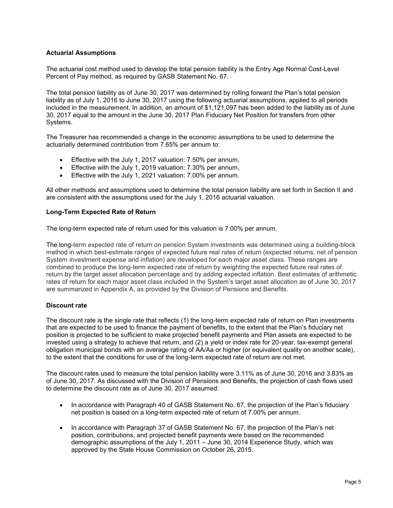#### **Actuarial Assumptions**

The actuarial cost method used to develop the total pension liability is the Entry Age Normal Cost-Level Percent of Pay method, as required by GASB Statement No. 67.

The total pension liability as of June 30, 2017 was determined by rolling forward the Plan's total pension liability as of July 1, 2016 to June 30, 2017 using the following actuarial assumptions, applied to all periods included in the measurement. In addition, an amount of \$1,121,097 has been added to the liability as of June 30, 2017 equal to the amount in the June 30, 2017 Plan Fiduciary Net Position for transfers from other Systems.

The Treasurer has recommended a change in the economic assumptions to be used to determine the actuarially determined contribution from 7.65% per annum to:

- Effective with the July 1, 2017 valuation: 7.50% per annum,
- Effective with the July 1, 2019 valuation: 7.30% per annum,
- Effective with the July 1, 2021 valuation: 7.00% per annum.

All other methods and assumptions used to determine the total pension liability are set forth in Section II and are consistent with the assumptions used for the July 1, 2016 actuarial valuation.

#### **Long-Term Expected Rate of Return**

The long-term expected rate of return used for this valuation is 7.00% per annum.

The long-term expected rate of return on pension System investments was determined using a building-block method in which best-estimate ranges of expected future real rates of return (expected returns, net of pension System investment expense and inflation) are developed for each major asset class. These ranges are combined to produce the long-term expected rate of return by weighting the expected future real rates of return by the target asset allocation percentage and by adding expected inflation. Best estimates of arithmetic rates of return for each major asset class included in the System's target asset allocation as of June 30, 2017 are summarized in Appendix A, as provided by the Division of Pensions and Benefits.

#### **Discount rate**

The discount rate is the single rate that reflects (1) the long-term expected rate of return on Plan investments that are expected to be used to finance the payment of benefits, to the extent that the Plan's fiduciary net position is projected to be sufficient to make projected benefit payments and Plan assets are expected to be invested using a strategy to achieve that return, and (2) a yield or index rate for 20-year, tax-exempt general obligation municipal bonds with an average rating of AA/Aa or higher (or equivalent quality on another scale), to the extent that the conditions for use of the long-term expected rate of return are not met.

The discount rates used to measure the total pension liability were 3.11% as of June 30, 2016 and 3.83% as of June 30, 2017. As discussed with the Division of Pensions and Benefits, the projection of cash flows used to determine the discount rate as of June 30, 2017 assumed:

- In accordance with Paragraph 40 of GASB Statement No. 67, the projection of the Plan's fiduciary net position is based on a long-term expected rate of return of 7.00% per annum.
- In accordance with Paragraph 37 of GASB Statement No. 67, the projection of the Plan's net position, contributions, and projected benefit payments were based on the recommended demographic assumptions of the July 1, 2011 – June 30, 2014 Experience Study, which was approved by the State House Commission on October 26, 2015.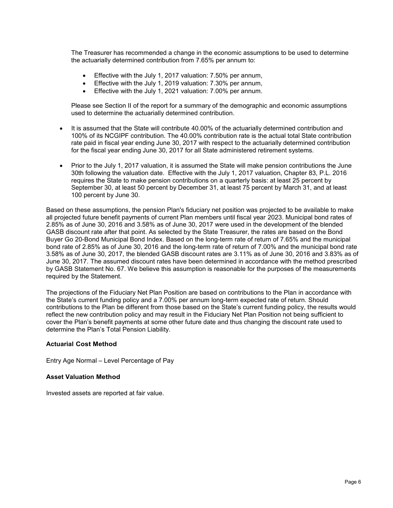The Treasurer has recommended a change in the economic assumptions to be used to determine the actuarially determined contribution from 7.65% per annum to:

- **Effective with the July 1, 2017 valuation: 7.50% per annum,**
- Effective with the July 1, 2019 valuation: 7.30% per annum,
- Effective with the July 1, 2021 valuation: 7.00% per annum.

Please see Section II of the report for a summary of the demographic and economic assumptions used to determine the actuarially determined contribution.

- It is assumed that the State will contribute 40.00% of the actuarially determined contribution and 100% of its NCGIPF contribution. The 40.00% contribution rate is the actual total State contribution rate paid in fiscal year ending June 30, 2017 with respect to the actuarially determined contribution for the fiscal year ending June 30, 2017 for all State administered retirement systems.
- Prior to the July 1, 2017 valuation, it is assumed the State will make pension contributions the June 30th following the valuation date. Effective with the July 1, 2017 valuation, Chapter 83, P.L. 2016 requires the State to make pension contributions on a quarterly basis: at least 25 percent by September 30, at least 50 percent by December 31, at least 75 percent by March 31, and at least 100 percent by June 30.

Based on these assumptions, the pension Plan's fiduciary net position was projected to be available to make all projected future benefit payments of current Plan members until fiscal year 2023. Municipal bond rates of 2.85% as of June 30, 2016 and 3.58% as of June 30, 2017 were used in the development of the blended GASB discount rate after that point. As selected by the State Treasurer, the rates are based on the Bond Buyer Go 20-Bond Municipal Bond Index. Based on the long-term rate of return of 7.65% and the municipal bond rate of 2.85% as of June 30, 2016 and the long-term rate of return of 7.00% and the municipal bond rate 3.58% as of June 30, 2017, the blended GASB discount rates are 3.11% as of June 30, 2016 and 3.83% as of June 30, 2017. The assumed discount rates have been determined in accordance with the method prescribed by GASB Statement No. 67. We believe this assumption is reasonable for the purposes of the measurements required by the Statement.

The projections of the Fiduciary Net Plan Position are based on contributions to the Plan in accordance with the State's current funding policy and a 7.00% per annum long-term expected rate of return. Should contributions to the Plan be different from those based on the State's current funding policy, the results would reflect the new contribution policy and may result in the Fiduciary Net Plan Position not being sufficient to cover the Plan's benefit payments at some other future date and thus changing the discount rate used to determine the Plan's Total Pension Liability.

#### **Actuarial Cost Method**

Entry Age Normal – Level Percentage of Pay

#### **Asset Valuation Method**

Invested assets are reported at fair value.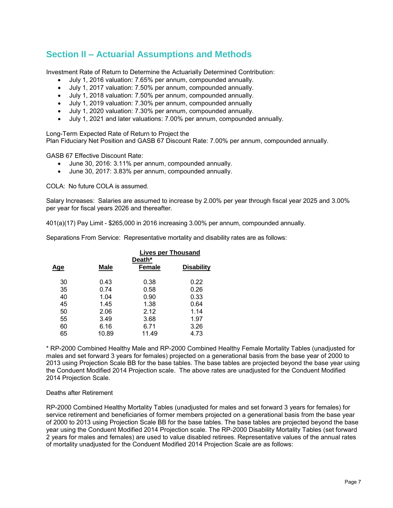### **Section II – Actuarial Assumptions and Methods**

Investment Rate of Return to Determine the Actuarially Determined Contribution:

- July 1, 2016 valuation: 7.65% per annum, compounded annually.
- July 1, 2017 valuation: 7.50% per annum, compounded annually.
- July 1, 2018 valuation: 7.50% per annum, compounded annually.
- July 1, 2019 valuation: 7.30% per annum, compounded annually
- July 1, 2020 valuation: 7.30% per annum, compounded annually.
- July 1, 2021 and later valuations: 7.00% per annum, compounded annually.

Long-Term Expected Rate of Return to Project the

Plan Fiduciary Net Position and GASB 67 Discount Rate: 7.00% per annum, compounded annually.

GASB 67 Effective Discount Rate:

- June 30, 2016: 3.11% per annum, compounded annually.
- June 30, 2017: 3.83% per annum, compounded annually.

COLA: No future COLA is assumed.

Salary Increases: Salaries are assumed to increase by 2.00% per year through fiscal year 2025 and 3.00% per year for fiscal years 2026 and thereafter.

401(a)(17) Pay Limit - \$265,000 in 2016 increasing 3.00% per annum, compounded annually.

Separations From Service: Representative mortality and disability rates are as follows:

|            |             |                         | <b>Lives per Thousand</b> |
|------------|-------------|-------------------------|---------------------------|
| <u>Age</u> | <b>Male</b> | Death*<br><b>Female</b> | <b>Disability</b>         |
| 30         | 0.43        | 0.38                    | 0.22                      |
| 35         | 0.74        | 0.58                    | 0.26                      |
| 40         | 1.04        | 0.90                    | 0.33                      |
| 45         | 1.45        | 1.38                    | 0.64                      |
| 50         | 2.06        | 2.12                    | 1.14                      |
| 55         | 3.49        | 3.68                    | 1.97                      |
| 60         | 6.16        | 6.71                    | 3.26                      |
| 65         | 10.89       | 11.49                   | 4.73                      |

\* RP-2000 Combined Healthy Male and RP-2000 Combined Healthy Female Mortality Tables (unadjusted for males and set forward 3 years for females) projected on a generational basis from the base year of 2000 to 2013 using Projection Scale BB for the base tables. The base tables are projected beyond the base year using the Conduent Modified 2014 Projection scale. The above rates are unadjusted for the Conduent Modified 2014 Projection Scale.

#### Deaths after Retirement

RP-2000 Combined Healthy Mortality Tables (unadjusted for males and set forward 3 years for females) for service retirement and beneficiaries of former members projected on a generational basis from the base year of 2000 to 2013 using Projection Scale BB for the base tables. The base tables are projected beyond the base year using the Conduent Modified 2014 Projection scale. The RP-2000 Disability Mortality Tables (set forward 2 years for males and females) are used to value disabled retirees. Representative values of the annual rates of mortality unadjusted for the Conduent Modified 2014 Projection Scale are as follows: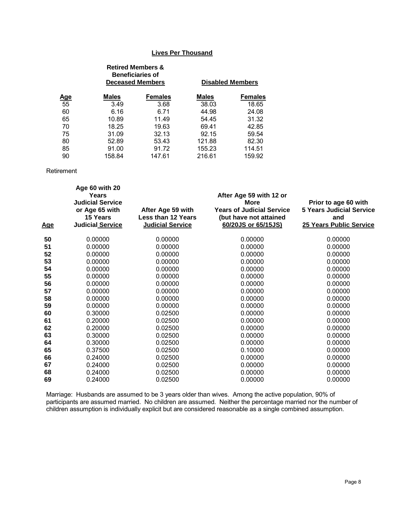#### **Lives Per Thousand**

|            |              | <b>Retired Members &amp;</b><br><b>Beneficiaries of</b><br><b>Deceased Members</b> |              | <b>Disabled Members</b> |
|------------|--------------|------------------------------------------------------------------------------------|--------------|-------------------------|
| <u>Age</u> | <b>Males</b> | <b>Females</b>                                                                     | <b>Males</b> | <b>Females</b>          |
| 55         | 3.49         | 3.68                                                                               | 38.03        | 18.65                   |
| 60         | 6.16         | 6.71                                                                               | 44.98        | 24.08                   |
| 65         | 10.89        | 11.49                                                                              | 54.45        | 31.32                   |
| 70         | 18.25        | 19.63                                                                              | 69.41        | 42.85                   |
| 75         | 31.09        | 32.13                                                                              | 92.15        | 59.54                   |
| 80         | 52.89        | 53.43                                                                              | 121.88       | 82.30                   |
| 85         | 91.00        | 91.72                                                                              | 155.23       | 114.51                  |
| 90         | 158.84       | 147.61                                                                             | 216.61       | 159.92                  |

Retirement

| <u>Age</u> | Age 60 with 20<br>Years<br><b>Judicial Service</b><br>or Age 65 with<br>15 Years<br><b>Judicial Service</b> | After Age 59 with<br><b>Less than 12 Years</b><br><b>Judicial Service</b> | After Age 59 with 12 or<br><b>More</b><br><b>Years of Judicial Service</b><br>(but have not attained<br>60/20JS or 65/15JS) | Prior to age 60 with<br><b>5 Years Judicial Service</b><br>and<br><b>25 Years Public Service</b> |
|------------|-------------------------------------------------------------------------------------------------------------|---------------------------------------------------------------------------|-----------------------------------------------------------------------------------------------------------------------------|--------------------------------------------------------------------------------------------------|
| 50         | 0.00000                                                                                                     | 0.00000                                                                   | 0.00000                                                                                                                     | 0.00000                                                                                          |
| 51         | 0.00000                                                                                                     | 0.00000                                                                   | 0.00000                                                                                                                     | 0.00000                                                                                          |
| 52         | 0.00000                                                                                                     | 0.00000                                                                   | 0.00000                                                                                                                     | 0.00000                                                                                          |
| 53         | 0.00000                                                                                                     | 0.00000                                                                   | 0.00000                                                                                                                     | 0.00000                                                                                          |
| 54         | 0.00000                                                                                                     | 0.00000                                                                   | 0.00000                                                                                                                     | 0.00000                                                                                          |
| 55         | 0.00000                                                                                                     | 0.00000                                                                   | 0.00000                                                                                                                     | 0.00000                                                                                          |
| 56         | 0.00000                                                                                                     | 0.00000                                                                   | 0.00000                                                                                                                     | 0.00000                                                                                          |
| 57         | 0.00000                                                                                                     | 0.00000                                                                   | 0.00000                                                                                                                     | 0.00000                                                                                          |
| 58         | 0.00000                                                                                                     | 0.00000                                                                   | 0.00000                                                                                                                     | 0.00000                                                                                          |
| 59         | 0.00000                                                                                                     | 0.00000                                                                   | 0.00000                                                                                                                     | 0.00000                                                                                          |
| 60         | 0.30000                                                                                                     | 0.02500                                                                   | 0.00000                                                                                                                     | 0.00000                                                                                          |
| 61         | 0.20000                                                                                                     | 0.02500                                                                   | 0.00000                                                                                                                     | 0.00000                                                                                          |
| 62         | 0.20000                                                                                                     | 0.02500                                                                   | 0.00000                                                                                                                     | 0.00000                                                                                          |
| 63         | 0.30000                                                                                                     | 0.02500                                                                   | 0.00000                                                                                                                     | 0.00000                                                                                          |
| 64         | 0.30000                                                                                                     | 0.02500                                                                   | 0.00000                                                                                                                     | 0.00000                                                                                          |
| 65         | 0.37500                                                                                                     | 0.02500                                                                   | 0.10000                                                                                                                     | 0.00000                                                                                          |
| 66         | 0.24000                                                                                                     | 0.02500                                                                   | 0.00000                                                                                                                     | 0.00000                                                                                          |
| 67         | 0.24000                                                                                                     | 0.02500                                                                   | 0.00000                                                                                                                     | 0.00000                                                                                          |
| 68         | 0.24000                                                                                                     | 0.02500                                                                   | 0.00000                                                                                                                     | 0.00000                                                                                          |
| 69         | 0.24000                                                                                                     | 0.02500                                                                   | 0.00000                                                                                                                     | 0.00000                                                                                          |

Marriage: Husbands are assumed to be 3 years older than wives. Among the active population, 90% of participants are assumed married. No children are assumed. Neither the percentage married nor the number of children assumption is individually explicit but are considered reasonable as a single combined assumption.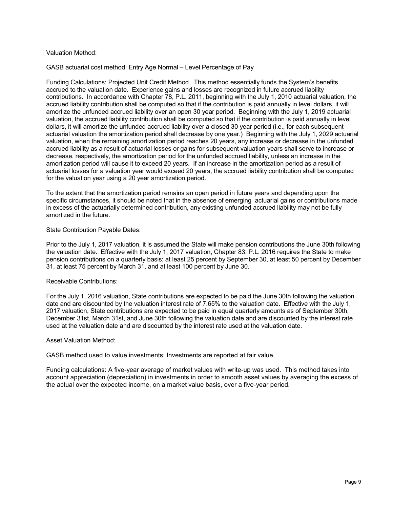#### Valuation Method:

GASB actuarial cost method: Entry Age Normal – Level Percentage of Pay

Funding Calculations: Projected Unit Credit Method. This method essentially funds the System's benefits accrued to the valuation date. Experience gains and losses are recognized in future accrued liability contributions. In accordance with Chapter 78, P.L. 2011, beginning with the July 1, 2010 actuarial valuation, the accrued liability contribution shall be computed so that if the contribution is paid annually in level dollars, it will amortize the unfunded accrued liability over an open 30 year period. Beginning with the July 1, 2019 actuarial valuation, the accrued liability contribution shall be computed so that if the contribution is paid annually in level dollars, it will amortize the unfunded accrued liability over a closed 30 year period (i.e., for each subsequent actuarial valuation the amortization period shall decrease by one year.) Beginning with the July 1, 2029 actuarial valuation, when the remaining amortization period reaches 20 years, any increase or decrease in the unfunded accrued liability as a result of actuarial losses or gains for subsequent valuation years shall serve to increase or decrease, respectively, the amortization period for the unfunded accrued liability, unless an increase in the amortization period will cause it to exceed 20 years. If an increase in the amortization period as a result of actuarial losses for a valuation year would exceed 20 years, the accrued liability contribution shall be computed for the valuation year using a 20 year amortization period.

To the extent that the amortization period remains an open period in future years and depending upon the specific circumstances, it should be noted that in the absence of emerging actuarial gains or contributions made in excess of the actuarially determined contribution, any existing unfunded accrued liability may not be fully amortized in the future.

#### State Contribution Payable Dates:

Prior to the July 1, 2017 valuation, it is assumed the State will make pension contributions the June 30th following the valuation date. Effective with the July 1, 2017 valuation, Chapter 83, P.L. 2016 requires the State to make pension contributions on a quarterly basis: at least 25 percent by September 30, at least 50 percent by December 31, at least 75 percent by March 31, and at least 100 percent by June 30.

#### Receivable Contributions:

For the July 1, 2016 valuation, State contributions are expected to be paid the June 30th following the valuation date and are discounted by the valuation interest rate of 7.65% to the valuation date. Effective with the July 1, 2017 valuation, State contributions are expected to be paid in equal quarterly amounts as of September 30th, December 31st, March 31st, and June 30th following the valuation date and are discounted by the interest rate used at the valuation date and are discounted by the interest rate used at the valuation date.

#### Asset Valuation Method:

GASB method used to value investments: Investments are reported at fair value.

Funding calculations: A five-year average of market values with write-up was used. This method takes into account appreciation (depreciation) in investments in order to smooth asset values by averaging the excess of the actual over the expected income, on a market value basis, over a five-year period.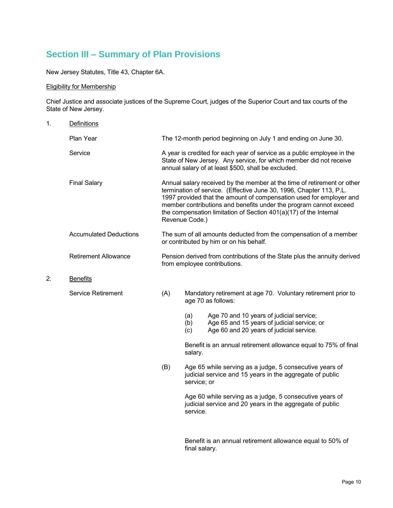# **Section III – Summary of Plan Provisions**

New Jersey Statutes, Title 43, Chapter 6A.

#### Eligibility for Membership

Chief Justice and associate justices of the Supreme Court, judges of the Superior Court and tax courts of the State of New Jersey.

| 1. | <b>Definitions</b>            |                                                                                                                                                                                                                                                                                                                                                                                   |                                                                                     |                                                                                                                                     |
|----|-------------------------------|-----------------------------------------------------------------------------------------------------------------------------------------------------------------------------------------------------------------------------------------------------------------------------------------------------------------------------------------------------------------------------------|-------------------------------------------------------------------------------------|-------------------------------------------------------------------------------------------------------------------------------------|
|    | Plan Year                     |                                                                                                                                                                                                                                                                                                                                                                                   | The 12-month period beginning on July 1 and ending on June 30.                      |                                                                                                                                     |
|    | Service                       | A year is credited for each year of service as a public employee in the<br>State of New Jersey. Any service, for which member did not receive<br>annual salary of at least \$500, shall be excluded.                                                                                                                                                                              |                                                                                     |                                                                                                                                     |
|    | <b>Final Salary</b>           | Annual salary received by the member at the time of retirement or other<br>termination of service. (Effective June 30, 1996, Chapter 113, P.L.<br>1997 provided that the amount of compensation used for employer and<br>member contributions and benefits under the program cannot exceed<br>the compensation limitation of Section 401(a)(17) of the Internal<br>Revenue Code.) |                                                                                     |                                                                                                                                     |
|    | <b>Accumulated Deductions</b> | The sum of all amounts deducted from the compensation of a member<br>or contributed by him or on his behalf.<br>Pension derived from contributions of the State plus the annuity derived<br>from employee contributions.                                                                                                                                                          |                                                                                     |                                                                                                                                     |
|    | <b>Retirement Allowance</b>   |                                                                                                                                                                                                                                                                                                                                                                                   |                                                                                     |                                                                                                                                     |
| 2. | <b>Benefits</b>               |                                                                                                                                                                                                                                                                                                                                                                                   |                                                                                     |                                                                                                                                     |
|    | Service Retirement            | (A)                                                                                                                                                                                                                                                                                                                                                                               | Mandatory retirement at age 70. Voluntary retirement prior to<br>age 70 as follows: |                                                                                                                                     |
|    |                               |                                                                                                                                                                                                                                                                                                                                                                                   | (a)<br>(b)<br>(c)                                                                   | Age 70 and 10 years of judicial service;<br>Age 65 and 15 years of judicial service; or<br>Age 60 and 20 years of judicial service. |
|    |                               |                                                                                                                                                                                                                                                                                                                                                                                   | salary.                                                                             | Benefit is an annual retirement allowance equal to 75% of final                                                                     |
|    |                               | (B)                                                                                                                                                                                                                                                                                                                                                                               | service; or                                                                         | Age 65 while serving as a judge, 5 consecutive years of<br>judicial service and 15 years in the aggregate of public                 |
|    |                               |                                                                                                                                                                                                                                                                                                                                                                                   | service.                                                                            | Age 60 while serving as a judge, 5 consecutive years of<br>judicial service and 20 years in the aggregate of public                 |
|    |                               |                                                                                                                                                                                                                                                                                                                                                                                   |                                                                                     | Benefit is an annual retirement allowance equal to 50% of                                                                           |

final salary.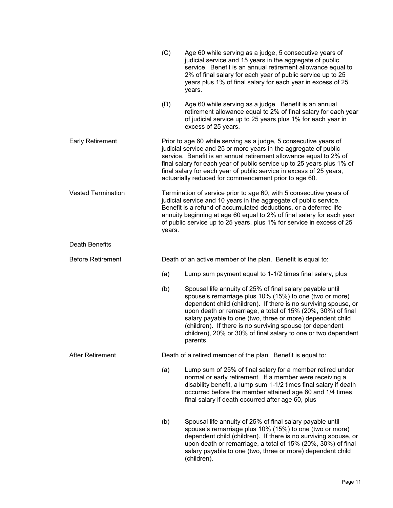|                           | (C)                                                                                                                                                                                                                                                                                                                                                                                                                 | Age 60 while serving as a judge, 5 consecutive years of<br>judicial service and 15 years in the aggregate of public<br>service. Benefit is an annual retirement allowance equal to<br>2% of final salary for each year of public service up to 25<br>years plus 1% of final salary for each year in excess of 25<br>years.                                                                                                                                      |
|---------------------------|---------------------------------------------------------------------------------------------------------------------------------------------------------------------------------------------------------------------------------------------------------------------------------------------------------------------------------------------------------------------------------------------------------------------|-----------------------------------------------------------------------------------------------------------------------------------------------------------------------------------------------------------------------------------------------------------------------------------------------------------------------------------------------------------------------------------------------------------------------------------------------------------------|
|                           | (D)                                                                                                                                                                                                                                                                                                                                                                                                                 | Age 60 while serving as a judge. Benefit is an annual<br>retirement allowance equal to 2% of final salary for each year<br>of judicial service up to 25 years plus 1% for each year in<br>excess of 25 years.                                                                                                                                                                                                                                                   |
| <b>Early Retirement</b>   | Prior to age 60 while serving as a judge, 5 consecutive years of<br>judicial service and 25 or more years in the aggregate of public<br>service. Benefit is an annual retirement allowance equal to 2% of<br>final salary for each year of public service up to 25 years plus 1% of<br>final salary for each year of public service in excess of 25 years,<br>actuarially reduced for commencement prior to age 60. |                                                                                                                                                                                                                                                                                                                                                                                                                                                                 |
| <b>Vested Termination</b> | Termination of service prior to age 60, with 5 consecutive years of<br>judicial service and 10 years in the aggregate of public service.<br>Benefit is a refund of accumulated deductions, or a deferred life<br>annuity beginning at age 60 equal to 2% of final salary for each year<br>of public service up to 25 years, plus 1% for service in excess of 25<br>years.                                           |                                                                                                                                                                                                                                                                                                                                                                                                                                                                 |
| <b>Death Benefits</b>     |                                                                                                                                                                                                                                                                                                                                                                                                                     |                                                                                                                                                                                                                                                                                                                                                                                                                                                                 |
| <b>Before Retirement</b>  | Death of an active member of the plan. Benefit is equal to:                                                                                                                                                                                                                                                                                                                                                         |                                                                                                                                                                                                                                                                                                                                                                                                                                                                 |
|                           | (a)                                                                                                                                                                                                                                                                                                                                                                                                                 | Lump sum payment equal to 1-1/2 times final salary, plus                                                                                                                                                                                                                                                                                                                                                                                                        |
|                           | (b)                                                                                                                                                                                                                                                                                                                                                                                                                 | Spousal life annuity of 25% of final salary payable until<br>spouse's remarriage plus 10% (15%) to one (two or more)<br>dependent child (children). If there is no surviving spouse, or<br>upon death or remarriage, a total of 15% (20%, 30%) of final<br>salary payable to one (two, three or more) dependent child<br>(children). If there is no surviving spouse (or dependent<br>children), 20% or 30% of final salary to one or two dependent<br>parents. |
| <b>After Retirement</b>   | Death of a retired member of the plan. Benefit is equal to:                                                                                                                                                                                                                                                                                                                                                         |                                                                                                                                                                                                                                                                                                                                                                                                                                                                 |
|                           | (a)                                                                                                                                                                                                                                                                                                                                                                                                                 | Lump sum of 25% of final salary for a member retired under<br>normal or early retirement. If a member were receiving a<br>disability benefit, a lump sum 1-1/2 times final salary if death<br>occurred before the member attained age 60 and 1/4 times<br>final salary if death occurred after age 60, plus                                                                                                                                                     |
|                           | (b)                                                                                                                                                                                                                                                                                                                                                                                                                 | Spousal life annuity of 25% of final salary payable until<br>spouse's remarriage plus 10% (15%) to one (two or more)<br>dependent child (children). If there is no surviving spouse, or<br>upon death or remarriage, a total of 15% (20%, 30%) of final<br>salary payable to one (two, three or more) dependent child<br>(children).                                                                                                                            |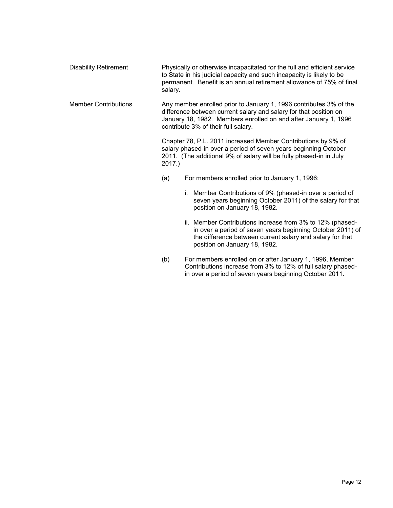| Disability Retirement | Physically or otherwise incapacitated for the full and efficient service<br>to State in his judicial capacity and such incapacity is likely to be<br>permanent. Benefit is an annual retirement allowance of 75% of final<br>salarv. |
|-----------------------|--------------------------------------------------------------------------------------------------------------------------------------------------------------------------------------------------------------------------------------|
|-----------------------|--------------------------------------------------------------------------------------------------------------------------------------------------------------------------------------------------------------------------------------|

 Member Contributions Any member enrolled prior to January 1, 1996 contributes 3% of the difference between current salary and salary for that position on January 18, 1982. Members enrolled on and after January 1, 1996 contribute 3% of their full salary.

> Chapter 78, P.L. 2011 increased Member Contributions by 9% of salary phased-in over a period of seven years beginning October 2011. (The additional 9% of salary will be fully phased-in in July 2017.)

- (a) For members enrolled prior to January 1, 1996:
	- i. Member Contributions of 9% (phased-in over a period of seven years beginning October 2011) of the salary for that position on January 18, 1982.
	- ii. Member Contributions increase from 3% to 12% (phasedin over a period of seven years beginning October 2011) of the difference between current salary and salary for that position on January 18, 1982.
- (b) For members enrolled on or after January 1, 1996, Member Contributions increase from 3% to 12% of full salary phasedin over a period of seven years beginning October 2011.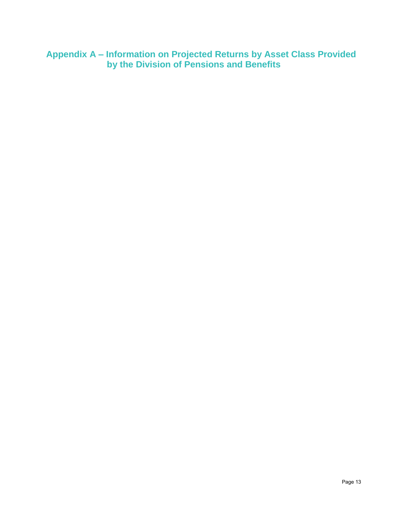**Appendix A – Information on Projected Returns by Asset Class Provided by the Division of Pensions and Benefits**